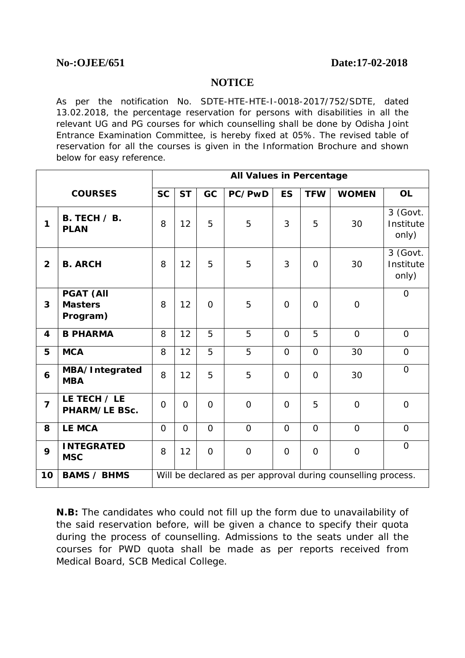## **NOTICE**

As per the notification No. SDTE-HTE-HTE-I-0018-2017/752/SDTE, dated 13.02.2018, the percentage reservation for persons with disabilities in all the relevant UG and PG courses for which counselling shall be done by Odisha Joint Entrance Examination Committee, is hereby fixed at 05%. The revised table of reservation for all the courses is given in the Information Brochure and shown below for easy reference.

|                         |                                                | <b>All Values in Percentage</b>                              |                |                |          |                |                |                |                                |
|-------------------------|------------------------------------------------|--------------------------------------------------------------|----------------|----------------|----------|----------------|----------------|----------------|--------------------------------|
|                         | <b>COURSES</b>                                 | <b>SC</b>                                                    | <b>ST</b>      | GC             | PC/PwD   | <b>ES</b>      | <b>TFW</b>     | <b>WOMEN</b>   | <b>OL</b>                      |
| 1                       | <b>B. TECH / B.</b><br><b>PLAN</b>             | 8                                                            | 12             | 5              | 5        | 3              | 5              | 30             | 3 (Govt.<br>Institute<br>only) |
| $\overline{2}$          | <b>B. ARCH</b>                                 | 8                                                            | 12             | 5              | 5        | 3              | $\Omega$       | 30             | 3 (Govt.<br>Institute<br>only) |
| $\overline{3}$          | <b>PGAT (All</b><br><b>Masters</b><br>Program) | 8                                                            | 12             | $\overline{O}$ | 5        | $\Omega$       | $\Omega$       | $\mathbf{O}$   | $\Omega$                       |
| $\overline{\mathbf{4}}$ | <b>B PHARMA</b>                                | 8                                                            | 12             | 5              | 5        | $\Omega$       | 5              | $\overline{O}$ | $\mathbf 0$                    |
| 5                       | <b>MCA</b>                                     | 8                                                            | 12             | 5              | 5        | $\Omega$       | $\Omega$       | 30             | $\Omega$                       |
| 6                       | MBA/Integrated<br><b>MBA</b>                   | 8                                                            | 12             | 5              | 5        | $\Omega$       | $\Omega$       | 30             | $\overline{O}$                 |
| $\overline{7}$          | LE TECH / LE<br><b>PHARM/LE BSc.</b>           | $\Omega$                                                     | $\overline{O}$ | $\Omega$       | $\Omega$ | $\overline{O}$ | 5              | $\overline{O}$ | $\Omega$                       |
| 8                       | <b>LE MCA</b>                                  | $\Omega$                                                     | $\Omega$       | $\Omega$       | $\Omega$ | $\Omega$       | $\Omega$       | $\Omega$       | $\Omega$                       |
| 9                       | <b>INTEGRATED</b><br><b>MSC</b>                | 8                                                            | 12             | $\overline{O}$ | $\Omega$ | $\Omega$       | $\overline{O}$ | $\overline{O}$ | $\overline{O}$                 |
| 10                      | <b>BAMS / BHMS</b>                             | Will be declared as per approval during counselling process. |                |                |          |                |                |                |                                |

**N.B:** The candidates who could not fill up the form due to unavailability of the said reservation before, will be given a chance to specify their quota during the process of counselling. Admissions to the seats under all the courses for PWD quota shall be made as per reports received from Medical Board, SCB Medical College.